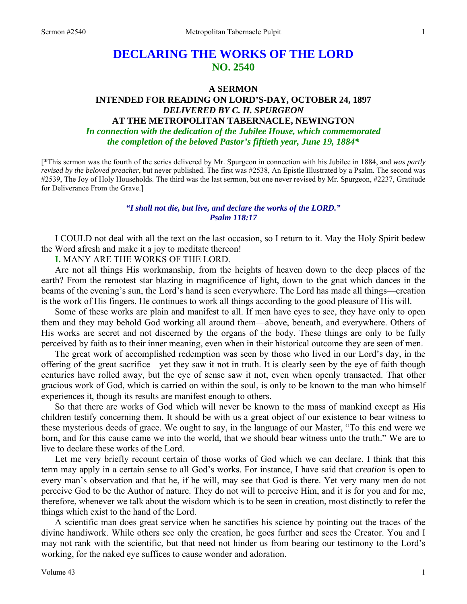# **DECLARING THE WORKS OF THE LORD NO. 2540**

#### **A SERMON**

# **INTENDED FOR READING ON LORD'S-DAY, OCTOBER 24, 1897**  *DELIVERED BY C. H. SPURGEON*  **AT THE METROPOLITAN TABERNACLE, NEWINGTON**

*In connection with the dedication of the Jubilee House, which commemorated the completion of the beloved Pastor's fiftieth year, June 19, 1884\**

[\*This sermon was the fourth of the series delivered by Mr. Spurgeon in connection with his Jubilee in 1884, and *was partly revised by the beloved preacher*, but never published. The first was #2538, An Epistle Illustrated by a Psalm. The second was #2539, The Joy of Holy Households. The third was the last sermon, but one never revised by Mr. Spurgeon, #2237, Gratitude for Deliverance From the Grave.]

#### *"I shall not die, but live, and declare the works of the LORD." Psalm 118:17*

I COULD not deal with all the text on the last occasion, so I return to it. May the Holy Spirit bedew the Word afresh and make it a joy to meditate thereon!

**I.** MANY ARE THE WORKS OF THE LORD.

Are not all things His workmanship, from the heights of heaven down to the deep places of the earth? From the remotest star blazing in magnificence of light, down to the gnat which dances in the beams of the evening's sun, the Lord's hand is seen everywhere. The Lord has made all things—creation is the work of His fingers. He continues to work all things according to the good pleasure of His will.

Some of these works are plain and manifest to all. If men have eyes to see, they have only to open them and they may behold God working all around them—above, beneath, and everywhere. Others of His works are secret and not discerned by the organs of the body. These things are only to be fully perceived by faith as to their inner meaning, even when in their historical outcome they are seen of men.

The great work of accomplished redemption was seen by those who lived in our Lord's day, in the offering of the great sacrifice—yet they saw it not in truth. It is clearly seen by the eye of faith though centuries have rolled away, but the eye of sense saw it not, even when openly transacted. That other gracious work of God, which is carried on within the soul, is only to be known to the man who himself experiences it, though its results are manifest enough to others.

So that there are works of God which will never be known to the mass of mankind except as His children testify concerning them. It should be with us a great object of our existence to bear witness to these mysterious deeds of grace. We ought to say, in the language of our Master, "To this end were we born, and for this cause came we into the world, that we should bear witness unto the truth." We are to live to declare these works of the Lord.

Let me very briefly recount certain of those works of God which we can declare. I think that this term may apply in a certain sense to all God's works. For instance, I have said that *creation* is open to every man's observation and that he, if he will, may see that God is there. Yet very many men do not perceive God to be the Author of nature. They do not will to perceive Him, and it is for you and for me, therefore, whenever we talk about the wisdom which is to be seen in creation, most distinctly to refer the things which exist to the hand of the Lord.

A scientific man does great service when he sanctifies his science by pointing out the traces of the divine handiwork. While others see only the creation, he goes further and sees the Creator. You and I may not rank with the scientific, but that need not hinder us from bearing our testimony to the Lord's working, for the naked eye suffices to cause wonder and adoration.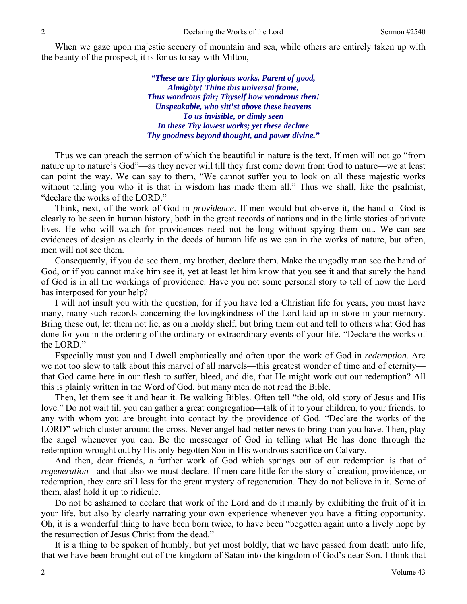When we gaze upon majestic scenery of mountain and sea, while others are entirely taken up with the beauty of the prospect, it is for us to say with Milton,—

> *"These are Thy glorious works, Parent of good, Almighty! Thine this universal frame, Thus wondrous fair; Thyself how wondrous then! Unspeakable, who sitt'st above these heavens To us invisible, or dimly seen In these Thy lowest works; yet these declare Thy goodness beyond thought, and power divine."*

Thus we can preach the sermon of which the beautiful in nature is the text. If men will not go "from nature up to nature's God"—as they never will till they first come down from God to nature—we at least can point the way. We can say to them, "We cannot suffer you to look on all these majestic works without telling you who it is that in wisdom has made them all." Thus we shall, like the psalmist, "declare the works of the LORD."

Think, next, of the work of God in *providence*. If men would but observe it, the hand of God is clearly to be seen in human history, both in the great records of nations and in the little stories of private lives. He who will watch for providences need not be long without spying them out. We can see evidences of design as clearly in the deeds of human life as we can in the works of nature, but often, men will not see them.

Consequently, if you do see them, my brother, declare them. Make the ungodly man see the hand of God, or if you cannot make him see it, yet at least let him know that you see it and that surely the hand of God is in all the workings of providence. Have you not some personal story to tell of how the Lord has interposed for your help?

I will not insult you with the question, for if you have led a Christian life for years, you must have many, many such records concerning the lovingkindness of the Lord laid up in store in your memory. Bring these out, let them not lie, as on a moldy shelf, but bring them out and tell to others what God has done for you in the ordering of the ordinary or extraordinary events of your life. "Declare the works of the LORD."

Especially must you and I dwell emphatically and often upon the work of God in *redemption.* Are we not too slow to talk about this marvel of all marvels—this greatest wonder of time and of eternity that God came here in our flesh to suffer, bleed, and die, that He might work out our redemption? All this is plainly written in the Word of God, but many men do not read the Bible.

Then, let them see it and hear it. Be walking Bibles. Often tell "the old, old story of Jesus and His love." Do not wait till you can gather a great congregation—talk of it to your children, to your friends, to any with whom you are brought into contact by the providence of God. "Declare the works of the LORD" which cluster around the cross. Never angel had better news to bring than you have. Then, play the angel whenever you can. Be the messenger of God in telling what He has done through the redemption wrought out by His only-begotten Son in His wondrous sacrifice on Calvary.

And then, dear friends, a further work of God which springs out of our redemption is that of *regeneration—*and that also we must declare. If men care little for the story of creation, providence, or redemption, they care still less for the great mystery of regeneration. They do not believe in it. Some of them, alas! hold it up to ridicule.

Do not be ashamed to declare that work of the Lord and do it mainly by exhibiting the fruit of it in your life, but also by clearly narrating your own experience whenever you have a fitting opportunity. Oh, it is a wonderful thing to have been born twice, to have been "begotten again unto a lively hope by the resurrection of Jesus Christ from the dead."

It is a thing to be spoken of humbly, but yet most boldly, that we have passed from death unto life, that we have been brought out of the kingdom of Satan into the kingdom of God's dear Son. I think that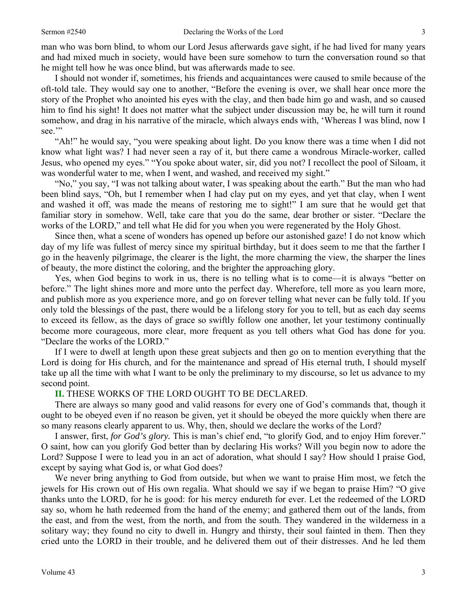man who was born blind, to whom our Lord Jesus afterwards gave sight, if he had lived for many years and had mixed much in society, would have been sure somehow to turn the conversation round so that he might tell how he was once blind, but was afterwards made to see.

I should not wonder if, sometimes, his friends and acquaintances were caused to smile because of the oft-told tale. They would say one to another, "Before the evening is over, we shall hear once more the story of the Prophet who anointed his eyes with the clay, and then bade him go and wash, and so caused him to find his sight! It does not matter what the subject under discussion may be, he will turn it round somehow, and drag in his narrative of the miracle, which always ends with, 'Whereas I was blind, now I see."

"Ah!" he would say, "you were speaking about light. Do you know there was a time when I did not know what light was? I had never seen a ray of it, but there came a wondrous Miracle-worker, called Jesus, who opened my eyes." "You spoke about water, sir, did you not? I recollect the pool of Siloam, it was wonderful water to me, when I went, and washed, and received my sight."

"No," you say, "I was not talking about water, I was speaking about the earth." But the man who had been blind says, "Oh, but I remember when I had clay put on my eyes, and yet that clay, when I went and washed it off, was made the means of restoring me to sight!" I am sure that he would get that familiar story in somehow. Well, take care that you do the same, dear brother or sister. "Declare the works of the LORD," and tell what He did for you when you were regenerated by the Holy Ghost.

Since then, what a scene of wonders has opened up before our astonished gaze! I do not know which day of my life was fullest of mercy since my spiritual birthday, but it does seem to me that the farther I go in the heavenly pilgrimage, the clearer is the light, the more charming the view, the sharper the lines of beauty, the more distinct the coloring, and the brighter the approaching glory.

Yes, when God begins to work in us, there is no telling what is to come—it is always "better on before." The light shines more and more unto the perfect day. Wherefore, tell more as you learn more, and publish more as you experience more, and go on forever telling what never can be fully told. If you only told the blessings of the past, there would be a lifelong story for you to tell, but as each day seems to exceed its fellow, as the days of grace so swiftly follow one another, let your testimony continually become more courageous, more clear, more frequent as you tell others what God has done for you. "Declare the works of the LORD."

If I were to dwell at length upon these great subjects and then go on to mention everything that the Lord is doing for His church, and for the maintenance and spread of His eternal truth, I should myself take up all the time with what I want to be only the preliminary to my discourse, so let us advance to my second point.

### **II.** THESE WORKS OF THE LORD OUGHT TO BE DECLARED.

There are always so many good and valid reasons for every one of God's commands that, though it ought to be obeyed even if no reason be given, yet it should be obeyed the more quickly when there are so many reasons clearly apparent to us. Why, then, should we declare the works of the Lord?

I answer, first, *for God's glory.* This is man's chief end, "to glorify God, and to enjoy Him forever." O saint, how can you glorify God better than by declaring His works? Will you begin now to adore the Lord? Suppose I were to lead you in an act of adoration, what should I say? How should I praise God, except by saying what God is, or what God does?

We never bring anything to God from outside, but when we want to praise Him most, we fetch the jewels for His crown out of His own regalia. What should we say if we began to praise Him? "O give thanks unto the LORD, for he is good: for his mercy endureth for ever. Let the redeemed of the LORD say so, whom he hath redeemed from the hand of the enemy; and gathered them out of the lands, from the east, and from the west, from the north, and from the south. They wandered in the wilderness in a solitary way; they found no city to dwell in. Hungry and thirsty, their soul fainted in them. Then they cried unto the LORD in their trouble, and he delivered them out of their distresses. And he led them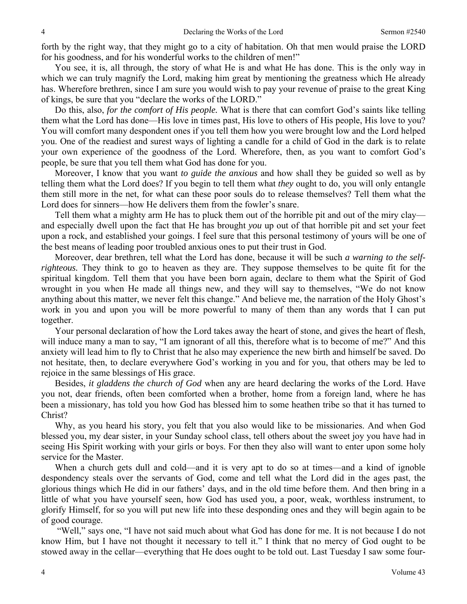forth by the right way, that they might go to a city of habitation. Oh that men would praise the LORD for his goodness, and for his wonderful works to the children of men!"

You see, it is, all through, the story of what He is and what He has done. This is the only way in which we can truly magnify the Lord, making him great by mentioning the greatness which He already has. Wherefore brethren, since I am sure you would wish to pay your revenue of praise to the great King of kings, be sure that you "declare the works of the LORD."

Do this, also, *for the comfort of His people.* What is there that can comfort God's saints like telling them what the Lord has done—His love in times past, His love to others of His people, His love to you? You will comfort many despondent ones if you tell them how you were brought low and the Lord helped you. One of the readiest and surest ways of lighting a candle for a child of God in the dark is to relate your own experience of the goodness of the Lord. Wherefore, then, as you want to comfort God's people, be sure that you tell them what God has done for you.

Moreover, I know that you want *to guide the anxious* and how shall they be guided so well as by telling them what the Lord does? If you begin to tell them what *they* ought to do, you will only entangle them still more in the net, for what can these poor souls do to release themselves? Tell them what the Lord does for sinners—how He delivers them from the fowler's snare.

Tell them what a mighty arm He has to pluck them out of the horrible pit and out of the miry clay and especially dwell upon the fact that He has brought *you* up out of that horrible pit and set your feet upon a rock, and established your goings. I feel sure that this personal testimony of yours will be one of the best means of leading poor troubled anxious ones to put their trust in God.

Moreover, dear brethren, tell what the Lord has done, because it will be such *a warning to the selfrighteous.* They think to go to heaven as they are. They suppose themselves to be quite fit for the spiritual kingdom. Tell them that you have been born again, declare to them what the Spirit of God wrought in you when He made all things new, and they will say to themselves, "We do not know anything about this matter, we never felt this change." And believe me, the narration of the Holy Ghost's work in you and upon you will be more powerful to many of them than any words that I can put together.

Your personal declaration of how the Lord takes away the heart of stone, and gives the heart of flesh, will induce many a man to say, "I am ignorant of all this, therefore what is to become of me?" And this anxiety will lead him to fly to Christ that he also may experience the new birth and himself be saved. Do not hesitate, then, to declare everywhere God's working in you and for you, that others may be led to rejoice in the same blessings of His grace.

Besides, *it gladdens the church of God* when any are heard declaring the works of the Lord. Have you not, dear friends, often been comforted when a brother, home from a foreign land, where he has been a missionary, has told you how God has blessed him to some heathen tribe so that it has turned to Christ?

Why, as you heard his story, you felt that you also would like to be missionaries. And when God blessed you, my dear sister, in your Sunday school class, tell others about the sweet joy you have had in seeing His Spirit working with your girls or boys. For then they also will want to enter upon some holy service for the Master.

When a church gets dull and cold—and it is very apt to do so at times—and a kind of ignoble despondency steals over the servants of God, come and tell what the Lord did in the ages past, the glorious things which He did in our fathers' days, and in the old time before them. And then bring in a little of what you have yourself seen, how God has used you, a poor, weak, worthless instrument, to glorify Himself, for so you will put new life into these desponding ones and they will begin again to be of good courage.

 "Well," says one, "I have not said much about what God has done for me. It is not because I do not know Him, but I have not thought it necessary to tell it." I think that no mercy of God ought to be stowed away in the cellar—everything that He does ought to be told out. Last Tuesday I saw some four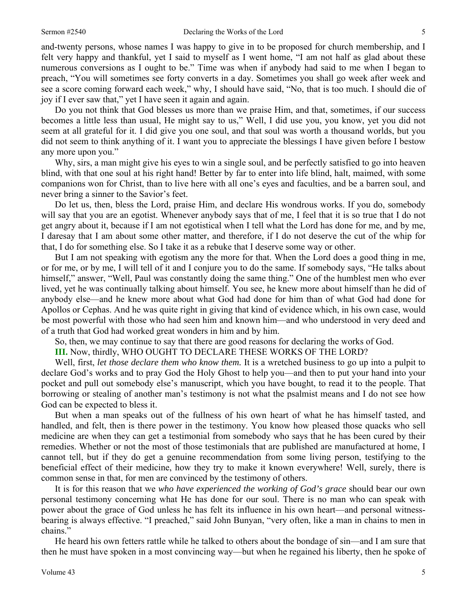and-twenty persons, whose names I was happy to give in to be proposed for church membership, and I felt very happy and thankful, yet I said to myself as I went home, "I am not half as glad about these numerous conversions as I ought to be." Time was when if anybody had said to me when I began to preach, "You will sometimes see forty converts in a day. Sometimes you shall go week after week and see a score coming forward each week," why, I should have said, "No, that is too much. I should die of joy if I ever saw that," yet I have seen it again and again.

Do you not think that God blesses us more than we praise Him, and that, sometimes, if our success becomes a little less than usual, He might say to us," Well, I did use you, you know, yet you did not seem at all grateful for it. I did give you one soul, and that soul was worth a thousand worlds, but you did not seem to think anything of it. I want you to appreciate the blessings I have given before I bestow any more upon you."

Why, sirs, a man might give his eyes to win a single soul, and be perfectly satisfied to go into heaven blind, with that one soul at his right hand! Better by far to enter into life blind, halt, maimed, with some companions won for Christ, than to live here with all one's eyes and faculties, and be a barren soul, and never bring a sinner to the Savior's feet.

Do let us, then, bless the Lord, praise Him, and declare His wondrous works. If you do, somebody will say that you are an egotist. Whenever anybody says that of me, I feel that it is so true that I do not get angry about it, because if I am not egotistical when I tell what the Lord has done for me, and by me, I daresay that I am about some other matter, and therefore, if I do not deserve the cut of the whip for that, I do for something else. So I take it as a rebuke that I deserve some way or other.

But I am not speaking with egotism any the more for that. When the Lord does a good thing in me, or for me, or by me, I will tell of it and I conjure you to do the same. If somebody says, "He talks about himself," answer, "Well, Paul was constantly doing the same thing." One of the humblest men who ever lived, yet he was continually talking about himself. You see, he knew more about himself than he did of anybody else—and he knew more about what God had done for him than of what God had done for Apollos or Cephas. And he was quite right in giving that kind of evidence which, in his own case, would be most powerful with those who had seen him and known him—and who understood in very deed and of a truth that God had worked great wonders in him and by him.

So, then, we may continue to say that there are good reasons for declaring the works of God.

**III.** Now, thirdly, WHO OUGHT TO DECLARE THESE WORKS OF THE LORD?

Well, first, *let those declare them who know them.* It is a wretched business to go up into a pulpit to declare God's works and to pray God the Holy Ghost to help you—and then to put your hand into your pocket and pull out somebody else's manuscript, which you have bought, to read it to the people. That borrowing or stealing of another man's testimony is not what the psalmist means and I do not see how God can be expected to bless it.

But when a man speaks out of the fullness of his own heart of what he has himself tasted, and handled, and felt, then is there power in the testimony. You know how pleased those quacks who sell medicine are when they can get a testimonial from somebody who says that he has been cured by their remedies. Whether or not the most of those testimonials that are published are manufactured at home, I cannot tell, but if they do get a genuine recommendation from some living person, testifying to the beneficial effect of their medicine, how they try to make it known everywhere! Well, surely, there is common sense in that, for men are convinced by the testimony of others.

It is for this reason that we *who have experienced the working of God's grace* should bear our own personal testimony concerning what He has done for our soul. There is no man who can speak with power about the grace of God unless he has felt its influence in his own heart—and personal witnessbearing is always effective. "I preached," said John Bunyan, "very often, like a man in chains to men in chains."

He heard his own fetters rattle while he talked to others about the bondage of sin—and I am sure that then he must have spoken in a most convincing way—but when he regained his liberty, then he spoke of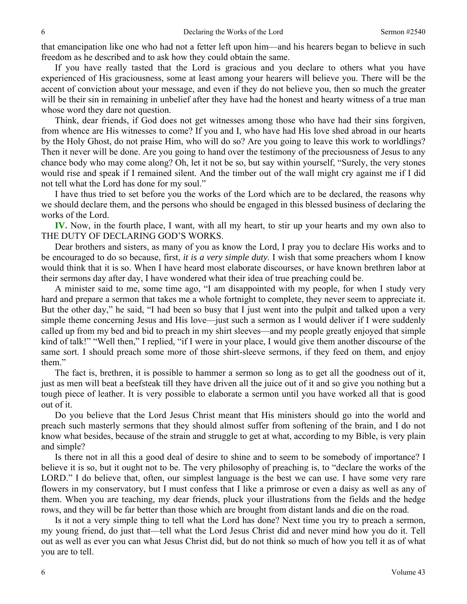that emancipation like one who had not a fetter left upon him—and his hearers began to believe in such freedom as he described and to ask how they could obtain the same.

If you have really tasted that the Lord is gracious and you declare to others what you have experienced of His graciousness, some at least among your hearers will believe you. There will be the accent of conviction about your message, and even if they do not believe you, then so much the greater will be their sin in remaining in unbelief after they have had the honest and hearty witness of a true man whose word they dare not question.

Think, dear friends, if God does not get witnesses among those who have had their sins forgiven, from whence are His witnesses to come? If you and I, who have had His love shed abroad in our hearts by the Holy Ghost, do not praise Him, who will do so? Are you going to leave this work to worldlings? Then it never will be done. Are you going to hand over the testimony of the preciousness of Jesus to any chance body who may come along? Oh, let it not be so, but say within yourself, "Surely, the very stones would rise and speak if I remained silent. And the timber out of the wall might cry against me if I did not tell what the Lord has done for my soul."

I have thus tried to set before you the works of the Lord which are to be declared, the reasons why we should declare them, and the persons who should be engaged in this blessed business of declaring the works of the Lord.

**IV.** Now, in the fourth place, I want, with all my heart, to stir up your hearts and my own also to THE DUTY OF DECLARING GOD'S WORKS.

Dear brothers and sisters, as many of you as know the Lord, I pray you to declare His works and to be encouraged to do so because, first, *it is a very simple duty*. I wish that some preachers whom I know would think that it is so. When I have heard most elaborate discourses, or have known brethren labor at their sermons day after day, I have wondered what their idea of true preaching could be.

A minister said to me, some time ago, "I am disappointed with my people, for when I study very hard and prepare a sermon that takes me a whole fortnight to complete, they never seem to appreciate it. But the other day," he said, "I had been so busy that I just went into the pulpit and talked upon a very simple theme concerning Jesus and His love—just such a sermon as I would deliver if I were suddenly called up from my bed and bid to preach in my shirt sleeves—and my people greatly enjoyed that simple kind of talk!" "Well then," I replied, "if I were in your place, I would give them another discourse of the same sort. I should preach some more of those shirt-sleeve sermons, if they feed on them, and enjoy them."

The fact is, brethren, it is possible to hammer a sermon so long as to get all the goodness out of it, just as men will beat a beefsteak till they have driven all the juice out of it and so give you nothing but a tough piece of leather. It is very possible to elaborate a sermon until you have worked all that is good out of it.

Do you believe that the Lord Jesus Christ meant that His ministers should go into the world and preach such masterly sermons that they should almost suffer from softening of the brain, and I do not know what besides, because of the strain and struggle to get at what, according to my Bible, is very plain and simple?

Is there not in all this a good deal of desire to shine and to seem to be somebody of importance? I believe it is so, but it ought not to be. The very philosophy of preaching is, to "declare the works of the LORD." I do believe that, often, our simplest language is the best we can use. I have some very rare flowers in my conservatory, but I must confess that I like a primrose or even a daisy as well as any of them. When you are teaching, my dear friends, pluck your illustrations from the fields and the hedge rows, and they will be far better than those which are brought from distant lands and die on the road.

Is it not a very simple thing to tell what the Lord has done? Next time you try to preach a sermon, my young friend, do just that—tell what the Lord Jesus Christ did and never mind how you do it. Tell out as well as ever you can what Jesus Christ did, but do not think so much of how you tell it as of what you are to tell.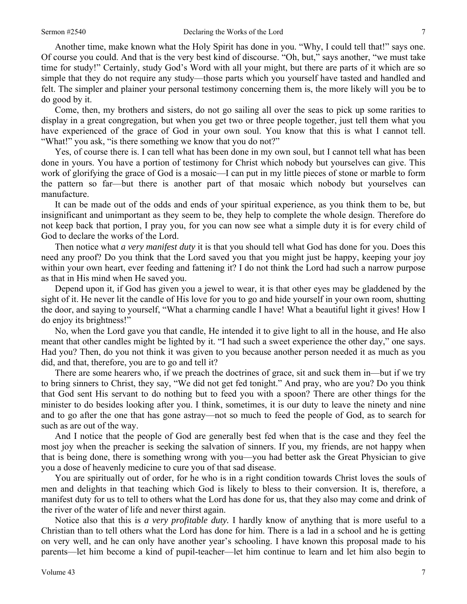Another time, make known what the Holy Spirit has done in you. "Why, I could tell that!" says one. Of course you could. And that is the very best kind of discourse. "Oh, but," says another, "we must take time for study!" Certainly, study God's Word with all your might, but there are parts of it which are so simple that they do not require any study—those parts which you yourself have tasted and handled and felt. The simpler and plainer your personal testimony concerning them is, the more likely will you be to do good by it.

Come, then, my brothers and sisters, do not go sailing all over the seas to pick up some rarities to display in a great congregation, but when you get two or three people together, just tell them what you have experienced of the grace of God in your own soul. You know that this is what I cannot tell. "What!" you ask, "is there something we know that you do not?"

Yes, of course there is. I can tell what has been done in my own soul, but I cannot tell what has been done in yours. You have a portion of testimony for Christ which nobody but yourselves can give. This work of glorifying the grace of God is a mosaic—I can put in my little pieces of stone or marble to form the pattern so far—but there is another part of that mosaic which nobody but yourselves can manufacture.

It can be made out of the odds and ends of your spiritual experience, as you think them to be, but insignificant and unimportant as they seem to be, they help to complete the whole design. Therefore do not keep back that portion, I pray you, for you can now see what a simple duty it is for every child of God to declare the works of the Lord.

Then notice what *a very manifest duty* it is that you should tell what God has done for you. Does this need any proof? Do you think that the Lord saved you that you might just be happy, keeping your joy within your own heart, ever feeding and fattening it? I do not think the Lord had such a narrow purpose as that in His mind when He saved you.

Depend upon it, if God has given you a jewel to wear, it is that other eyes may be gladdened by the sight of it. He never lit the candle of His love for you to go and hide yourself in your own room, shutting the door, and saying to yourself, "What a charming candle I have! What a beautiful light it gives! How I do enjoy its brightness!"

No, when the Lord gave you that candle, He intended it to give light to all in the house, and He also meant that other candles might be lighted by it. "I had such a sweet experience the other day," one says. Had you? Then, do you not think it was given to you because another person needed it as much as you did, and that, therefore, you are to go and tell it?

There are some hearers who, if we preach the doctrines of grace, sit and suck them in—but if we try to bring sinners to Christ, they say, "We did not get fed tonight." And pray, who are you? Do you think that God sent His servant to do nothing but to feed you with a spoon? There are other things for the minister to do besides looking after you. I think, sometimes, it is our duty to leave the ninety and nine and to go after the one that has gone astray—not so much to feed the people of God, as to search for such as are out of the way.

And I notice that the people of God are generally best fed when that is the case and they feel the most joy when the preacher is seeking the salvation of sinners. If you, my friends, are not happy when that is being done, there is something wrong with you—you had better ask the Great Physician to give you a dose of heavenly medicine to cure you of that sad disease.

You are spiritually out of order, for he who is in a right condition towards Christ loves the souls of men and delights in that teaching which God is likely to bless to their conversion. It is, therefore, a manifest duty for us to tell to others what the Lord has done for us, that they also may come and drink of the river of the water of life and never thirst again.

Notice also that this is *a very profitable duty.* I hardly know of anything that is more useful to a Christian than to tell others what the Lord has done for him. There is a lad in a school and he is getting on very well, and he can only have another year's schooling. I have known this proposal made to his parents—let him become a kind of pupil-teacher—let him continue to learn and let him also begin to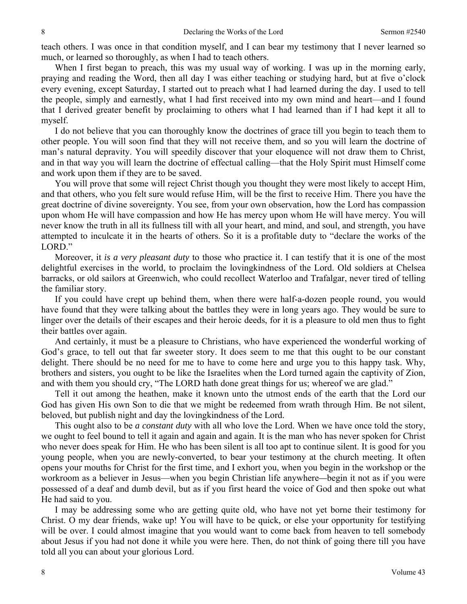teach others. I was once in that condition myself, and I can bear my testimony that I never learned so much, or learned so thoroughly, as when I had to teach others.

When I first began to preach, this was my usual way of working. I was up in the morning early, praying and reading the Word, then all day I was either teaching or studying hard, but at five o'clock every evening, except Saturday, I started out to preach what I had learned during the day. I used to tell the people, simply and earnestly, what I had first received into my own mind and heart—and I found that I derived greater benefit by proclaiming to others what I had learned than if I had kept it all to myself.

I do not believe that you can thoroughly know the doctrines of grace till you begin to teach them to other people. You will soon find that they will not receive them, and so you will learn the doctrine of man's natural depravity. You will speedily discover that your eloquence will not draw them to Christ, and in that way you will learn the doctrine of effectual calling—that the Holy Spirit must Himself come and work upon them if they are to be saved.

You will prove that some will reject Christ though you thought they were most likely to accept Him, and that others, who you felt sure would refuse Him, will be the first to receive Him. There you have the great doctrine of divine sovereignty. You see, from your own observation, how the Lord has compassion upon whom He will have compassion and how He has mercy upon whom He will have mercy. You will never know the truth in all its fullness till with all your heart, and mind, and soul, and strength, you have attempted to inculcate it in the hearts of others. So it is a profitable duty to "declare the works of the LORD."

Moreover, it *is a very pleasant duty* to those who practice it. I can testify that it is one of the most delightful exercises in the world, to proclaim the lovingkindness of the Lord. Old soldiers at Chelsea barracks, or old sailors at Greenwich, who could recollect Waterloo and Trafalgar, never tired of telling the familiar story.

If you could have crept up behind them, when there were half-a-dozen people round, you would have found that they were talking about the battles they were in long years ago. They would be sure to linger over the details of their escapes and their heroic deeds, for it is a pleasure to old men thus to fight their battles over again.

And certainly, it must be a pleasure to Christians, who have experienced the wonderful working of God's grace, to tell out that far sweeter story. It does seem to me that this ought to be our constant delight. There should be no need for me to have to come here and urge you to this happy task. Why, brothers and sisters, you ought to be like the Israelites when the Lord turned again the captivity of Zion, and with them you should cry, "The LORD hath done great things for us; whereof we are glad."

Tell it out among the heathen, make it known unto the utmost ends of the earth that the Lord our God has given His own Son to die that we might be redeemed from wrath through Him. Be not silent, beloved, but publish night and day the lovingkindness of the Lord.

This ought also to be *a constant duty* with all who love the Lord. When we have once told the story, we ought to feel bound to tell it again and again and again. It is the man who has never spoken for Christ who never does speak for Him. He who has been silent is all too apt to continue silent. It is good for you young people, when you are newly-converted, to bear your testimony at the church meeting. It often opens your mouths for Christ for the first time, and I exhort you, when you begin in the workshop or the workroom as a believer in Jesus—when you begin Christian life anywhere*—*begin it not as if you were possessed of a deaf and dumb devil, but as if you first heard the voice of God and then spoke out what He had said to you.

I may be addressing some who are getting quite old, who have not yet borne their testimony for Christ. O my dear friends, wake up! You will have to be quick, or else your opportunity for testifying will be over. I could almost imagine that you would want to come back from heaven to tell somebody about Jesus if you had not done it while you were here. Then, do not think of going there till you have told all you can about your glorious Lord.